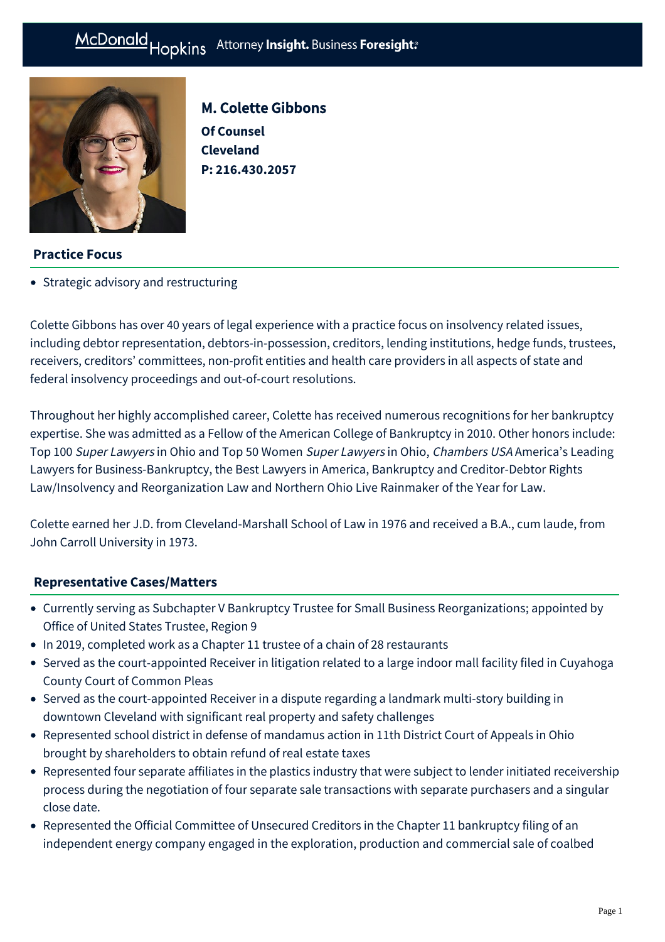

M. Colette Gibbons **Of Counsel Cleveland P: [216.430.2057](tel:216.430.2057)**

## **Practice Focus**

• [Strategic advisory and restructuring](https://mcdonaldhopkins.com/Expertise/Strategic-advisory-and-restructuring)

Colette Gibbons has over 40 years of legal experience with a practice focus on insolvency related issues, including debtor representation, debtors-in-possession, creditors, lending institutions, hedge funds, trustees, receivers, creditors' committees, non-profit entities and health care providers in all aspects of state and federal insolvency proceedings and out-of-court resolutions.

Throughout her highly accomplished career, Colette has received numerous recognitions for her bankruptcy expertise. She was admitted as a Fellow of the American College of Bankruptcy in 2010. Other honors include: Top 100 Super Lawyers in Ohio and Top 50 Women Super Lawyers in Ohio, Chambers USA America's Leading Lawyers for Business-Bankruptcy, the Best Lawyers in America, Bankruptcy and Creditor-Debtor Rights Law/Insolvency and Reorganization Law and Northern Ohio Live Rainmaker of the Year for Law.

Colette earned her J.D. from Cleveland-Marshall School of Law in 1976 and received a B.A., cum laude, from John Carroll University in 1973.

## **[Representative Cases/Matters](#page-0-0)**

- <span id="page-0-0"></span>Currently serving as Subchapter V Bankruptcy Trustee for Small Business Reorganizations; appointed by Office of United States Trustee, Region 9
- In 2019, completed work as a Chapter 11 trustee of a chain of 28 restaurants
- Served as the court-appointed Receiver in litigation related to a large indoor mall facility filed in Cuyahoga County Court of Common Pleas
- Served as the court-appointed Receiver in a dispute regarding a landmark multi-story building in downtown Cleveland with significant real property and safety challenges
- Represented school district in defense of mandamus action in 11th District Court of Appeals in Ohio brought by shareholders to obtain refund of real estate taxes
- Represented four separate affiliates in the plastics industry that were subject to lender initiated receivership process during the negotiation of four separate sale transactions with separate purchasers and a singular close date.
- Represented the Official Committee of Unsecured Creditors in the Chapter 11 bankruptcy filing of an independent energy company engaged in the exploration, production and commercial sale of coalbed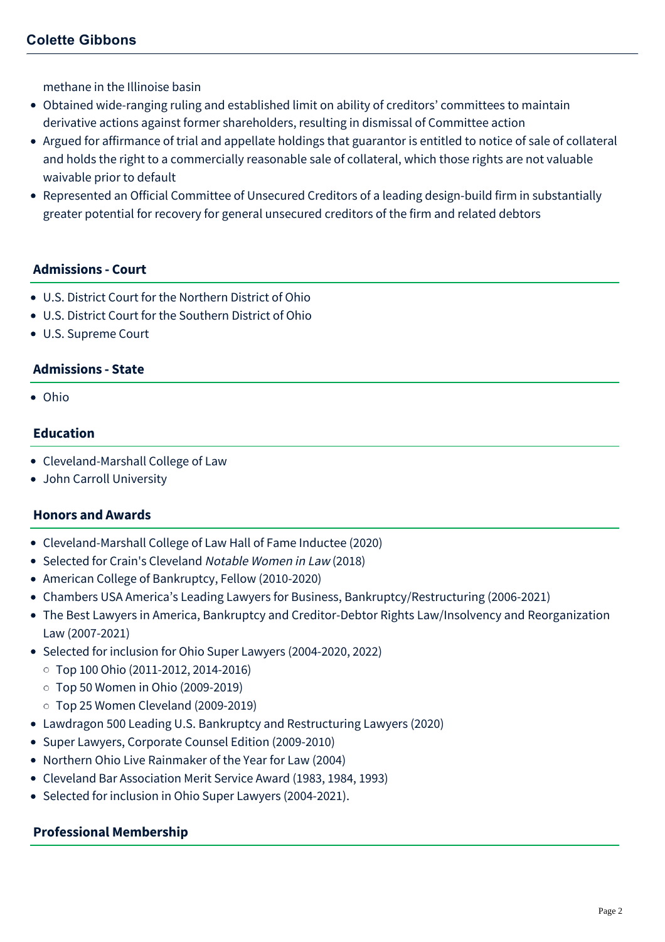# **Colette Gibbons**

methane in the Illinoise basin

- Obtained wide-ranging ruling and established limit on ability of creditors' committees to maintain derivative actions against former shareholders, resulting in dismissal of Committee action
- Argued for affirmance of trial and appellate holdings that guarantor is entitled to notice of sale of collateral and holds the right to a commercially reasonable sale of collateral, which those rights are not valuable waivable prior to default
- Represented an Official Committee of Unsecured Creditors of a leading design-build firm in substantially greater potential for recovery for general unsecured creditors of the firm and related debtors

#### **Admissions - Court**

- U.S. District Court for the Northern District of Ohio
- U.S. District Court for the Southern District of Ohio
- U.S. Supreme Court

#### **Admissions - State**

Ohio

#### **Education**

- Cleveland-Marshall College of Law
- John Carroll University

#### **Honors and Awards**

- Cleveland-Marshall College of Law Hall of Fame Inductee (2020)
- Selected for Crain's Cleveland Notable Women in Law (2018)
- American College of Bankruptcy, Fellow (2010-2020)
- Chambers USA America's Leading Lawyers for Business, Bankruptcy/Restructuring (2006-2021)
- The Best Lawyers in America, Bankruptcy and Creditor-Debtor Rights Law/Insolvency and Reorganization Law (2007-2021)
- Selected for inclusion for Ohio Super Lawyers (2004-2020, 2022)
	- Top 100 Ohio (2011-2012, 2014-2016)
	- Top 50 Women in Ohio (2009-2019)
	- Top 25 Women Cleveland (2009-2019)
- Lawdragon 500 Leading U.S. Bankruptcy and Restructuring Lawyers (2020)
- Super Lawyers, Corporate Counsel Edition (2009-2010)
- Northern Ohio Live Rainmaker of the Year for Law (2004)
- Cleveland Bar Association Merit Service Award (1983, 1984, 1993)
- Selected for inclusion in Ohio Super Lawyers (2004-2021).

#### **Professional Membership**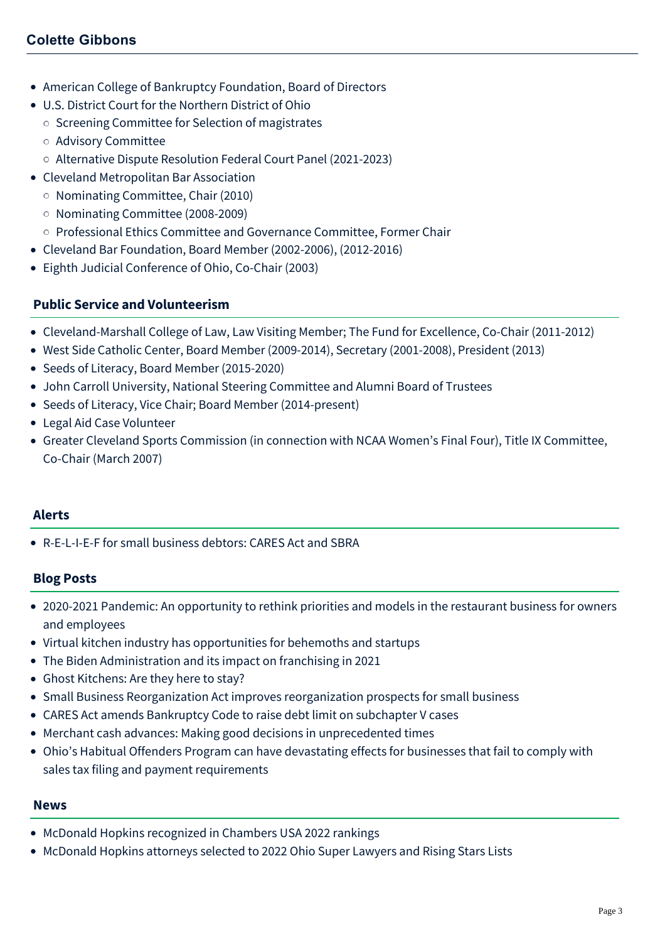- American College of Bankruptcy Foundation, Board of Directors
- U.S. District Court for the Northern District of Ohio
	- o Screening Committee for Selection of magistrates
	- Advisory Committee
	- Alternative Dispute Resolution Federal Court Panel (2021-2023)
- Cleveland Metropolitan Bar Association
	- Nominating Committee, Chair (2010)
	- Nominating Committee (2008-2009)
- o Professional Ethics Committee and Governance Committee, Former Chair
- Cleveland Bar Foundation, Board Member (2002-2006), (2012-2016)
- Eighth Judicial Conference of Ohio, Co-Chair (2003)

## **Public Service and Volunteerism**

- Cleveland-Marshall College of Law, Law Visiting Member; The Fund for Excellence, Co-Chair (2011-2012)
- West Side Catholic Center, Board Member (2009-2014), Secretary (2001-2008), President (2013)
- Seeds of Literacy, Board Member (2015-2020)
- John Carroll University, National Steering Committee and Alumni Board of Trustees
- Seeds of Literacy, Vice Chair; Board Member (2014-present)
- Legal Aid Case Volunteer
- Greater Cleveland Sports Commission (in connection with NCAA Women's Final Four), Title IX Committee, Co-Chair (March 2007)

#### **Alerts**

[R-E-L-I-E-F for small business debtors: CARES Act and SBRA](https://mcdonaldhopkins.com/Insights/April-2020/Relief-for-small-business-debtors-CARES-Act-and-SB)

## **Blog Posts**

- [2020-2021 Pandemic: An opportunity to rethink priorities and models in the restaurant business for owners](https://mcdonaldhopkins.com/Insights/December-2021/An-Opportunity-to-Rethink-Priorities-and-Models-in) and employees
- [Virtual kitchen industry has opportunities for behemoths and startups](https://mcdonaldhopkins.com/Insights/July-2021/Virtual-kitchen-industry-has-opportunities-for-beh)
- [The Biden Administration and its impact on franchising in 2021](https://mcdonaldhopkins.com/Insights/February-2021/The-Biden-Administration-and-its-impact-on-franchi)
- [Ghost Kitchens: Are they here to stay?](https://mcdonaldhopkins.com/Insights/December-2020/Ghost-Kitchens-Are-They-Here-to-Stay)
- [Small Business Reorganization Act improves reorganization prospects for small business](https://mcdonaldhopkins.com/Insights/June-2020-(1)/Small-Business-Reorganization-Act-improves-reorgan)
- [CARES Act amends Bankruptcy Code to raise debt limit on subchapter V cases](https://mcdonaldhopkins.com/Insights/March-2020/CARES-Act-amends-bankruptcy-code-to-raise-debt-lim)
- [Merchant cash advances: Making good decisions in unprecedented times](https://mcdonaldhopkins.com/Insights/March-2020/Merchant-cash-advances-Making-good-decisions-in-un)
- [Ohio's Habitual Offenders Program can have devastating effects for businesses that fail to comply with](https://mcdonaldhopkins.com/Insights/September-2019/Habitual-Offenders-Program-can-have-devastating-ef) sales tax filing and payment requirements

#### **News**

- [McDonald Hopkins recognized in Chambers USA 2022 rankings](https://mcdonaldhopkins.com/Insights/June-2022/McDonald-Hopkins-recognized-in-Chambers-USA-2022)
- [McDonald Hopkins attorneys selected to 2022 Ohio Super Lawyers and Rising Stars Lists](https://mcdonaldhopkins.com/Insights/December-2021/McDonald-Hopkins-Ohio-Super-Lawyers)